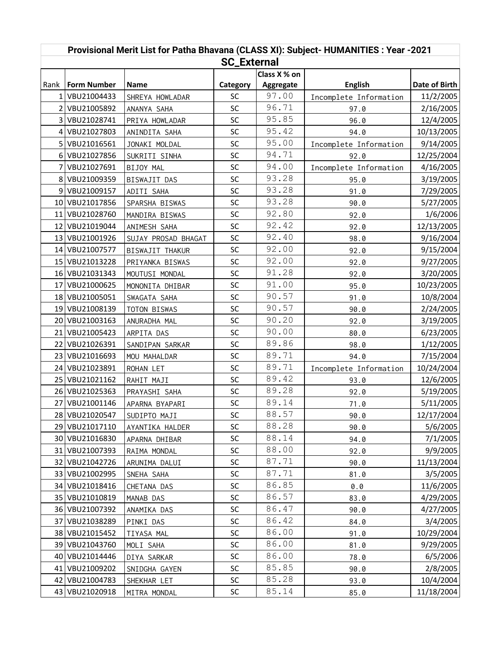| Provisional Merit List for Patha Bhavana (CLASS XI): Subject- HUMANITIES : Year -2021<br><b>SC_External</b> |                    |                     |           |              |                        |               |  |
|-------------------------------------------------------------------------------------------------------------|--------------------|---------------------|-----------|--------------|------------------------|---------------|--|
|                                                                                                             |                    |                     |           | Class X % on |                        |               |  |
| Rank                                                                                                        | <b>Form Number</b> | <b>Name</b>         | Category  | Aggregate    | <b>English</b>         | Date of Birth |  |
|                                                                                                             | 1 VBU21004433      | SHREYA HOWLADAR     | <b>SC</b> | 97.00        | Incomplete Information | 11/2/2005     |  |
|                                                                                                             | 2 VBU21005892      | ANANYA SAHA         | SC        | 96.71        | 97.0                   | 2/16/2005     |  |
|                                                                                                             | 3 VBU21028741      | PRIYA HOWLADAR      | SC        | 95.85        | 96.0                   | 12/4/2005     |  |
|                                                                                                             | 4 VBU21027803      | ANINDITA SAHA       | SC        | 95.42        | 94.0                   | 10/13/2005    |  |
|                                                                                                             | 5 VBU21016561      | JONAKI MOLDAL       | SC        | 95.00        | Incomplete Information | 9/14/2005     |  |
|                                                                                                             | 6 VBU21027856      | SUKRITI SINHA       | SC        | 94.71        | 92.0                   | 12/25/2004    |  |
|                                                                                                             | 7 VBU21027691      | BIJOY MAL           | SC        | 94.00        | Incomplete Information | 4/16/2005     |  |
|                                                                                                             | 8 VBU21009359      | BISWAJIT DAS        | SC        | 93.28        | 95.0                   | 3/19/2005     |  |
|                                                                                                             | 9 VBU21009157      | ADITI SAHA          | SC        | 93.28        | 91.0                   | 7/29/2005     |  |
|                                                                                                             | 10 VBU21017856     | SPARSHA BISWAS      | SC        | 93.28        | 90.0                   | 5/27/2005     |  |
|                                                                                                             | 11 VBU21028760     | MANDIRA BISWAS      | SC        | 92.80        | 92.0                   | 1/6/2006      |  |
|                                                                                                             | 12 VBU21019044     | ANIMESH SAHA        | SC        | 92.42        | 92.0                   | 12/13/2005    |  |
|                                                                                                             | 13 VBU21001926     | SUJAY PROSAD BHAGAT | SC        | 92.40        | 98.0                   | 9/16/2004     |  |
|                                                                                                             | 14 VBU21007577     | BISWAJIT THAKUR     | SC        | 92.00        | 92.0                   | 9/15/2004     |  |
|                                                                                                             | 15 VBU21013228     | PRIYANKA BISWAS     | SC        | 92.00        | 92.0                   | 9/27/2005     |  |
|                                                                                                             | 16 VBU21031343     | MOUTUSI MONDAL      | SC        | 91.28        | 92.0                   | 3/20/2005     |  |
|                                                                                                             | 17 VBU21000625     | MONONITA DHIBAR     | SC        | 91.00        | 95.0                   | 10/23/2005    |  |
|                                                                                                             | 18 VBU21005051     | SWAGATA SAHA        | SC        | 90.57        | 91.0                   | 10/8/2004     |  |
|                                                                                                             | 19 VBU21008139     | TOTON BISWAS        | SC        | 90.57        | 90.0                   | 2/24/2005     |  |
|                                                                                                             | 20 VBU21003163     | ANURADHA MAL        | SC        | 90.20        | 92.0                   | 3/19/2005     |  |
|                                                                                                             | 21 VBU21005423     | ARPITA DAS          | SC        | 90.00        | 80.0                   | 6/23/2005     |  |
|                                                                                                             | 22 VBU21026391     | SANDIPAN SARKAR     | SC        | 89.86        | 98.0                   | 1/12/2005     |  |
|                                                                                                             | 23 VBU21016693     | MOU MAHALDAR        | SC        | 89.71        | 94.0                   | 7/15/2004     |  |
|                                                                                                             | 24 VBU21023891     | ROHAN LET           | SC        | 89.71        | Incomplete Information | 10/24/2004    |  |
|                                                                                                             | 25 VBU21021162     | RAHIT MAJI          | SC        | 89.42        | 93.0                   | 12/6/2005     |  |
|                                                                                                             | 26 VBU21025363     | PRAYASHI SAHA       | SC        | 89.28        | 92.0                   | 5/19/2005     |  |
|                                                                                                             | 27 VBU21001146     | APARNA BYAPARI      | SC        | 89.14        | 71.0                   | 5/11/2005     |  |
|                                                                                                             | 28 VBU21020547     | SUDIPTO MAJI        | SC        | 88.57        | 90.0                   | 12/17/2004    |  |
|                                                                                                             | 29 VBU21017110     | AYANTIKA HALDER     | <b>SC</b> | 88.28        | 90.0                   | 5/6/2005      |  |
|                                                                                                             | 30 VBU21016830     | APARNA DHIBAR       | SC        | 88.14        | 94.0                   | 7/1/2005      |  |
|                                                                                                             | 31   VBU21007393   | RAIMA MONDAL        | SC        | 88.00        | 92.0                   | 9/9/2005      |  |
|                                                                                                             | 32   VBU21042726   | ARUNIMA DALUI       | SC        | 87.71        | 90.0                   | 11/13/2004    |  |
|                                                                                                             | 33   VBU21002995   | SNEHA SAHA          | <b>SC</b> | 87.71        | 81.0                   | 3/5/2005      |  |
|                                                                                                             | 34 VBU21018416     | CHETANA DAS         | SC        | 86.85        | 0.0                    | 11/6/2005     |  |
|                                                                                                             | 35   VBU21010819   | MANAB DAS           | SC        | 86.57        | 83.0                   | 4/29/2005     |  |
|                                                                                                             | 36 VBU21007392     | ANAMIKA DAS         | SC        | 86.47        | 90.0                   | 4/27/2005     |  |
|                                                                                                             | 37 VBU21038289     | PINKI DAS           | SC        | 86.42        | 84.0                   | 3/4/2005      |  |
|                                                                                                             | 38 VBU21015452     | TIYASA MAL          | <b>SC</b> | 86.00        | 91.0                   | 10/29/2004    |  |
|                                                                                                             | 39 VBU21043760     | MOLI SAHA           | <b>SC</b> | 86.00        | 81.0                   | 9/29/2005     |  |
|                                                                                                             | 40   VBU21014446   | DIYA SARKAR         | SC        | 86.00        | 78.0                   | 6/5/2006      |  |
|                                                                                                             | 41   VBU21009202   | SNIDGHA GAYEN       | <b>SC</b> | 85.85        | 90.0                   | 2/8/2005      |  |
|                                                                                                             | 42   VBU21004783   | SHEKHAR LET         | <b>SC</b> | 85.28        | 93.0                   | 10/4/2004     |  |
|                                                                                                             | 43 VBU21020918     | MITRA MONDAL        | <b>SC</b> | 85.14        | 85.0                   | 11/18/2004    |  |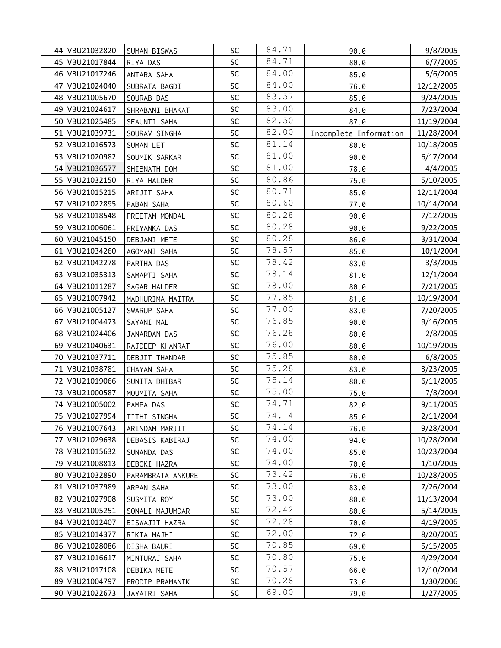|    | 44 VBU21032820   | SUMAN BISWAS      | SC | 84.71 | 90.0                   | 9/8/2005   |
|----|------------------|-------------------|----|-------|------------------------|------------|
|    | 45 VBU21017844   | RIYA DAS          | SC | 84.71 | 80.0                   | 6/7/2005   |
|    | 46 VBU21017246   | ANTARA SAHA       | SC | 84.00 | 85.0                   | 5/6/2005   |
| 47 | VBU21024040      | SUBRATA BAGDI     | SC | 84.00 | 76.0                   | 12/12/2005 |
|    | 48 VBU21005670   | SOURAB DAS        | SC | 83.57 | 85.0                   | 9/24/2005  |
|    | 49 VBU21024617   | SHRABANI BHAKAT   | SC | 83.00 | 84.0                   | 7/23/2004  |
|    | 50 VBU21025485   | SEAUNTI SAHA      | SC | 82.50 | 87.0                   | 11/19/2004 |
|    | 51 VBU21039731   | SOURAV SINGHA     | SC | 82.00 | Incomplete Information | 11/28/2004 |
|    | 52 VBU21016573   | SUMAN LET         | SC | 81.14 | 80.0                   | 10/18/2005 |
|    | 53 VBU21020982   | SOUMIK SARKAR     | SC | 81.00 | 90.0                   | 6/17/2004  |
|    | 54 VBU21036577   | SHIBNATH DOM      | SC | 81.00 | 78.0                   | 4/4/2005   |
|    | 55 VBU21032150   | RIYA HALDER       | SC | 80.86 | 75.0                   | 5/10/2005  |
|    | 56 VBU21015215   | ARIJIT SAHA       | SC | 80.71 | 85.0                   | 12/11/2004 |
|    | 57 VBU21022895   | PABAN SAHA        | SC | 80.60 | 77.0                   | 10/14/2004 |
|    | 58 VBU21018548   | PREETAM MONDAL    | SC | 80.28 | 90.0                   | 7/12/2005  |
|    | 59 VBU21006061   | PRIYANKA DAS      | SC | 80.28 | 90.0                   | 9/22/2005  |
|    | 60 VBU21045150   | DEBJANI METE      | SC | 80.28 | 86.0                   | 3/31/2004  |
|    | 61   VBU21034260 | AGOMANI SAHA      | SC | 78.57 | 85.0                   | 10/1/2004  |
|    | 62 VBU21042278   | PARTHA DAS        | SC | 78.42 | 83.0                   | 3/3/2005   |
|    | 63 VBU21035313   | SAMAPTI SAHA      | SC | 78.14 | 81.0                   | 12/1/2004  |
|    | 64 VBU21011287   | SAGAR HALDER      | SC | 78.00 | 80.0                   | 7/21/2005  |
|    | 65   VBU21007942 | MADHURIMA MAITRA  | SC | 77.85 | 81.0                   | 10/19/2004 |
|    | 66 VBU21005127   | SWARUP SAHA       | SC | 77.00 | 83.0                   | 7/20/2005  |
| 67 | VBU21004473      | SAYANI MAL        | SC | 76.85 | 90.0                   | 9/16/2005  |
|    | 68 VBU21024406   | JANARDAN DAS      | SC | 76.28 | 80.0                   | 2/8/2005   |
|    | 69 VBU21040631   | RAJDEEP KHANRAT   | SC | 76.00 | 80.0                   | 10/19/2005 |
|    | 70 VBU21037711   | DEBJIT THANDAR    | SC | 75.85 | 80.0                   | 6/8/2005   |
|    | 71 VBU21038781   | CHAYAN SAHA       | SC | 75.28 | 83.0                   | 3/23/2005  |
|    | 72 VBU21019066   | SUNITA DHIBAR     | SC | 75.14 | 80.0                   | 6/11/2005  |
|    | 73 VBU21000587   | MOUMITA SAHA      | SC | 75.00 | 75.0                   | 7/8/2004   |
|    | 74 VBU21005002   | PAMPA DAS         | SC | 74.71 | 82.0                   | 9/11/2005  |
|    | 75 VBU21027994   | TITHI SINGHA      | SC | 74.14 | 85.0                   | 2/11/2004  |
|    | 76 VBU21007643   | ARINDAM MARJIT    | SC | 74.14 | 76.0                   | 9/28/2004  |
|    | 77 VBU21029638   | DEBASIS KABIRAJ   | SC | 74.00 | 94.0                   | 10/28/2004 |
|    | 78 VBU21015632   | SUNANDA DAS       | SC | 74.00 | 85.0                   | 10/23/2004 |
|    | 79 VBU21008813   | DEBOKI HAZRA      | SC | 74.00 | 70.0                   | 1/10/2005  |
|    | 80 VBU21032890   | PARAMBRATA ANKURE | SC | 73.42 | 76.0                   | 10/28/2005 |
|    | 81 VBU21037989   | ARPAN SAHA        | SC | 73.00 | 83.0                   | 7/26/2004  |
|    | 82 VBU21027908   | SUSMITA ROY       | SC | 73.00 | 80.0                   | 11/13/2004 |
|    | 83 VBU21005251   | SONALI MAJUMDAR   | SC | 72.42 | 80.0                   | 5/14/2005  |
|    | 84 VBU21012407   | BISWAJIT HAZRA    | SC | 72.28 | 70.0                   | 4/19/2005  |
|    | 85 VBU21014377   | RIKTA MAJHI       | SC | 72.00 | 72.0                   | 8/20/2005  |
|    | 86 VBU21028086   | DISHA BAURI       | SC | 70.85 | 69.0                   | 5/15/2005  |
|    | 87 VBU21016617   | MINTURAJ SAHA     | SC | 70.80 | 75.0                   | 4/29/2004  |
|    | 88 VBU21017108   | DEBIKA METE       | SC | 70.57 | 66.0                   | 12/10/2004 |
|    | 89 VBU21004797   | PRODIP PRAMANIK   | SC | 70.28 | 73.0                   | 1/30/2006  |
|    | 90   VBU21022673 | JAYATRI SAHA      | SC | 69.00 | 79.0                   | 1/27/2005  |